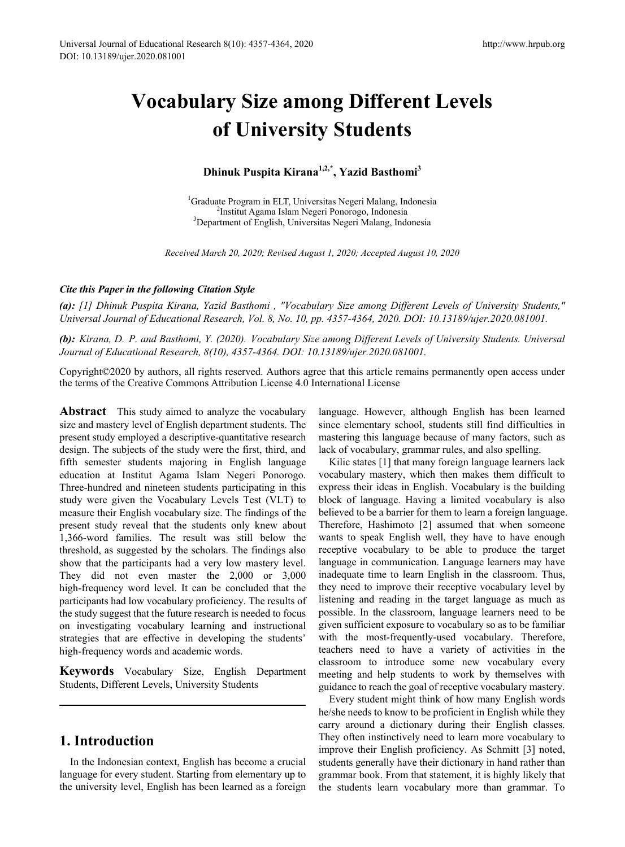# **Vocabulary Size among Different Levels of University Students**

# **Dhinuk Puspita Kirana1,2,\*, Yazid Basthomi3**

<sup>1</sup>Graduate Program in ELT, Universitas Negeri Malang, Indonesia<br><sup>2</sup>Institut Agama Islam Negeri Ponorogo, Indonesia Institut Agama Islam Negeri Ponorogo, Indonesia <sup>3</sup> Department of English, Universitas Negeri Malang, Indonesia

*Received March 20, 2020; Revised August 1, 2020; Accepted August 10, 2020*

## *Cite this Paper in the following Citation Style*

*(a): [1] Dhinuk Puspita Kirana, Yazid Basthomi , "Vocabulary Size among Different Levels of University Students," Universal Journal of Educational Research, Vol. 8, No. 10, pp. 4357-4364, 2020. DOI: 10.13189/ujer.2020.081001.* 

*(b): Kirana, D. P. and Basthomi, Y. (2020). Vocabulary Size among Different Levels of University Students. Universal Journal of Educational Research, 8(10), 4357-4364. DOI: 10.13189/ujer.2020.081001.* 

Copyright©2020 by authors, all rights reserved. Authors agree that this article remains permanently open access under the terms of the Creative Commons Attribution License 4.0 International License

**Abstract** This study aimed to analyze the vocabulary size and mastery level of English department students. The present study employed a descriptive-quantitative research design. The subjects of the study were the first, third, and fifth semester students majoring in English language education at Institut Agama Islam Negeri Ponorogo. Three-hundred and nineteen students participating in this study were given the Vocabulary Levels Test (VLT) to measure their English vocabulary size. The findings of the present study reveal that the students only knew about 1,366-word families. The result was still below the threshold, as suggested by the scholars. The findings also show that the participants had a very low mastery level. They did not even master the 2,000 or 3,000 high-frequency word level. It can be concluded that the participants had low vocabulary proficiency. The results of the study suggest that the future research is needed to focus on investigating vocabulary learning and instructional strategies that are effective in developing the students' high-frequency words and academic words.

**Keywords** Vocabulary Size, English Department Students, Different Levels, University Students

## **1. Introduction**

In the Indonesian context, English has become a crucial language for every student. Starting from elementary up to the university level, English has been learned as a foreign

language. However, although English has been learned since elementary school, students still find difficulties in mastering this language because of many factors, such as lack of vocabulary, grammar rules, and also spelling.

Kilic states [1] that many foreign language learners lack vocabulary mastery, which then makes them difficult to express their ideas in English. Vocabulary is the building block of language. Having a limited vocabulary is also believed to be a barrier for them to learn a foreign language. Therefore, Hashimoto [2] assumed that when someone wants to speak English well, they have to have enough receptive vocabulary to be able to produce the target language in communication. Language learners may have inadequate time to learn English in the classroom. Thus, they need to improve their receptive vocabulary level by listening and reading in the target language as much as possible. In the classroom, language learners need to be given sufficient exposure to vocabulary so as to be familiar with the most-frequently-used vocabulary. Therefore, teachers need to have a variety of activities in the classroom to introduce some new vocabulary every meeting and help students to work by themselves with guidance to reach the goal of receptive vocabulary mastery.

Every student might think of how many English words he/she needs to know to be proficient in English while they carry around a dictionary during their English classes. They often instinctively need to learn more vocabulary to improve their English proficiency. As Schmitt [3] noted, students generally have their dictionary in hand rather than grammar book. From that statement, it is highly likely that the students learn vocabulary more than grammar. To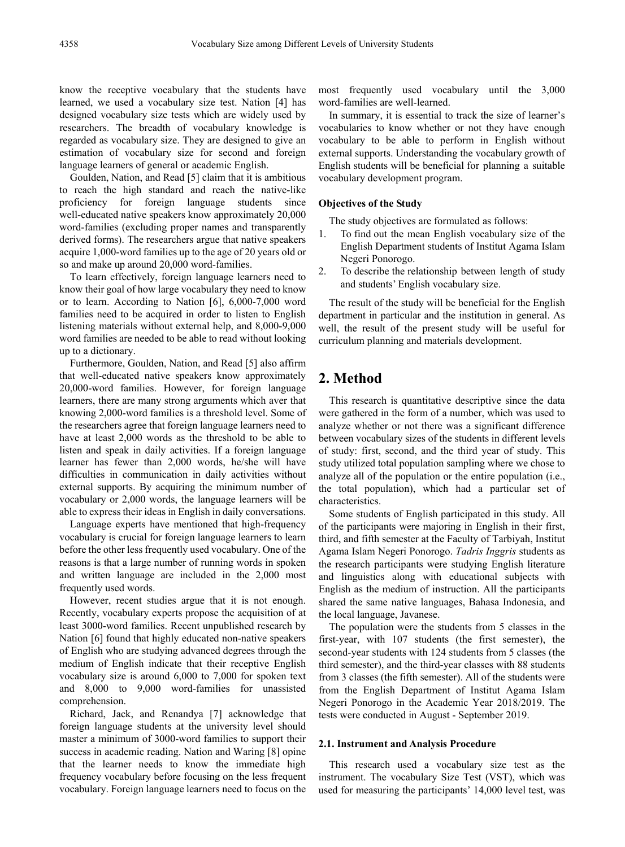know the receptive vocabulary that the students have learned, we used a vocabulary size test. Nation [4] has designed vocabulary size tests which are widely used by researchers. The breadth of vocabulary knowledge is regarded as vocabulary size. They are designed to give an estimation of vocabulary size for second and foreign language learners of general or academic English.

Goulden, Nation, and Read [5] claim that it is ambitious to reach the high standard and reach the native-like proficiency for foreign language students since well-educated native speakers know approximately 20,000 word-families (excluding proper names and transparently derived forms). The researchers argue that native speakers acquire 1,000-word families up to the age of 20 years old or so and make up around 20,000 word-families.

To learn effectively, foreign language learners need to know their goal of how large vocabulary they need to know or to learn. According to Nation [6], 6,000-7,000 word families need to be acquired in order to listen to English listening materials without external help, and 8,000-9,000 word families are needed to be able to read without looking up to a dictionary.

Furthermore, Goulden, Nation, and Read [5] also affirm that well-educated native speakers know approximately 20,000-word families. However, for foreign language learners, there are many strong arguments which aver that knowing 2,000-word families is a threshold level. Some of the researchers agree that foreign language learners need to have at least 2,000 words as the threshold to be able to listen and speak in daily activities. If a foreign language learner has fewer than 2,000 words, he/she will have difficulties in communication in daily activities without external supports. By acquiring the minimum number of vocabulary or 2,000 words, the language learners will be able to express their ideas in English in daily conversations.

Language experts have mentioned that high-frequency vocabulary is crucial for foreign language learners to learn before the other less frequently used vocabulary. One of the reasons is that a large number of running words in spoken and written language are included in the 2,000 most frequently used words.

However, recent studies argue that it is not enough. Recently, vocabulary experts propose the acquisition of at least 3000-word families. Recent unpublished research by Nation [6] found that highly educated non-native speakers of English who are studying advanced degrees through the medium of English indicate that their receptive English vocabulary size is around 6,000 to 7,000 for spoken text and 8,000 to 9,000 word-families for unassisted comprehension.

Richard, Jack, and Renandya [7] acknowledge that foreign language students at the university level should master a minimum of 3000-word families to support their success in academic reading. Nation and Waring [8] opine that the learner needs to know the immediate high frequency vocabulary before focusing on the less frequent vocabulary. Foreign language learners need to focus on the

most frequently used vocabulary until the 3,000 word-families are well-learned.

In summary, it is essential to track the size of learner's vocabularies to know whether or not they have enough vocabulary to be able to perform in English without external supports. Understanding the vocabulary growth of English students will be beneficial for planning a suitable vocabulary development program.

### **Objectives of the Study**

The study objectives are formulated as follows:

- 1. To find out the mean English vocabulary size of the English Department students of Institut Agama Islam Negeri Ponorogo.
- 2. To describe the relationship between length of study and students' English vocabulary size.

The result of the study will be beneficial for the English department in particular and the institution in general. As well, the result of the present study will be useful for curriculum planning and materials development.

# **2. Method**

This research is quantitative descriptive since the data were gathered in the form of a number, which was used to analyze whether or not there was a significant difference between vocabulary sizes of the students in different levels of study: first, second, and the third year of study. This study utilized total population sampling where we chose to analyze all of the population or the entire population (i.e., the total population), which had a particular set of characteristics.

Some students of English participated in this study. All of the participants were majoring in English in their first, third, and fifth semester at the Faculty of Tarbiyah, Institut Agama Islam Negeri Ponorogo. *Tadris Inggris* students as the research participants were studying English literature and linguistics along with educational subjects with English as the medium of instruction. All the participants shared the same native languages, Bahasa Indonesia, and the local language, Javanese.

The population were the students from 5 classes in the first-year, with 107 students (the first semester), the second-year students with 124 students from 5 classes (the third semester), and the third-year classes with 88 students from 3 classes (the fifth semester). All of the students were from the English Department of Institut Agama Islam Negeri Ponorogo in the Academic Year 2018/2019. The tests were conducted in August - September 2019.

#### **2.1. Instrument and Analysis Procedure**

This research used a vocabulary size test as the instrument. The vocabulary Size Test (VST), which was used for measuring the participants' 14,000 level test, was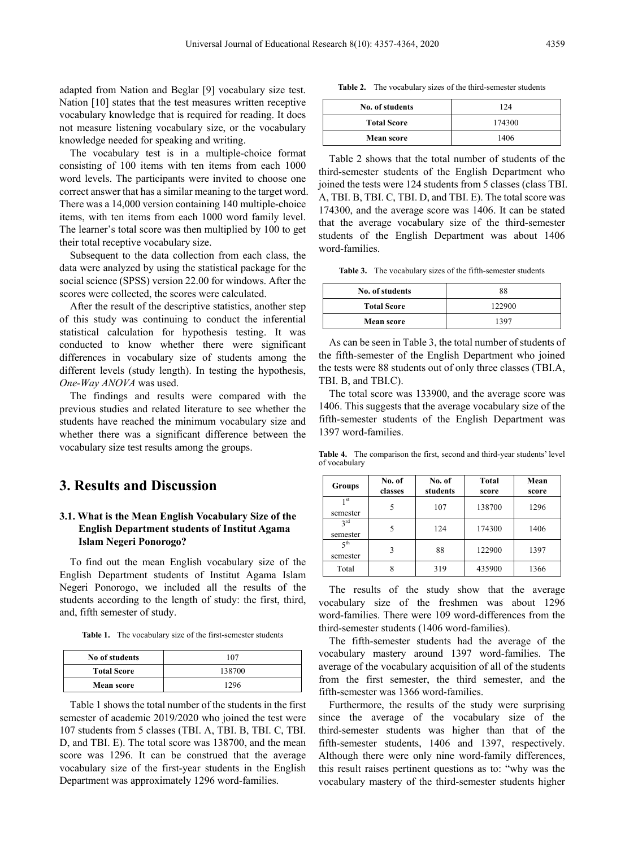adapted from Nation and Beglar [9] vocabulary size test. Nation [10] states that the test measures written receptive vocabulary knowledge that is required for reading. It does not measure listening vocabulary size, or the vocabulary knowledge needed for speaking and writing.

The vocabulary test is in a multiple-choice format consisting of 100 items with ten items from each 1000 word levels. The participants were invited to choose one correct answer that has a similar meaning to the target word. There was a 14,000 version containing 140 multiple-choice items, with ten items from each 1000 word family level. The learner's total score was then multiplied by 100 to get their total receptive vocabulary size.

Subsequent to the data collection from each class, the data were analyzed by using the statistical package for the social science (SPSS) version 22.00 for windows. After the scores were collected, the scores were calculated.

After the result of the descriptive statistics, another step of this study was continuing to conduct the inferential statistical calculation for hypothesis testing. It was conducted to know whether there were significant differences in vocabulary size of students among the different levels (study length). In testing the hypothesis, *One-Way ANOVA* was used.

The findings and results were compared with the previous studies and related literature to see whether the students have reached the minimum vocabulary size and whether there was a significant difference between the vocabulary size test results among the groups.

# **3. Results and Discussion**

## **3.1. What is the Mean English Vocabulary Size of the English Department students of Institut Agama Islam Negeri Ponorogo?**

To find out the mean English vocabulary size of the English Department students of Institut Agama Islam Negeri Ponorogo, we included all the results of the students according to the length of study: the first, third, and, fifth semester of study.

**Table 1.** The vocabulary size of the first-semester students

| No of students     | 107    |
|--------------------|--------|
| <b>Total Score</b> | 138700 |
| <b>Mean score</b>  | 1296   |

Table 1 shows the total number of the students in the first semester of academic 2019/2020 who joined the test were 107 students from 5 classes (TBI. A, TBI. B, TBI. C, TBI. D, and TBI. E). The total score was 138700, and the mean score was 1296. It can be construed that the average vocabulary size of the first-year students in the English Department was approximately 1296 word-families.

**Table 2.** The vocabulary sizes of the third-semester students

| No. of students    | 124    |
|--------------------|--------|
| <b>Total Score</b> | 174300 |
| <b>Mean score</b>  | 1406   |

Table 2 shows that the total number of students of the third-semester students of the English Department who joined the tests were 124 students from 5 classes (class TBI. A, TBI. B, TBI. C, TBI. D, and TBI. E). The total score was 174300, and the average score was 1406. It can be stated that the average vocabulary size of the third-semester students of the English Department was about 1406 word-families.

**Table 3.** The vocabulary sizes of the fifth-semester students

| No. of students    | 88     |
|--------------------|--------|
| <b>Total Score</b> | 122900 |
| <b>Mean score</b>  | 1397   |

As can be seen in Table 3, the total number of students of the fifth-semester of the English Department who joined the tests were 88 students out of only three classes (TBI.A, TBI. B, and TBI.C).

The total score was 133900, and the average score was 1406. This suggests that the average vocabulary size of the fifth-semester students of the English Department was 1397 word-families.

**Table 4.** The comparison the first, second and third-year students' level of vocabulary

| <b>Groups</b>               | No. of<br>classes | No. of<br>students | Total<br>score | Mean<br>score |
|-----------------------------|-------------------|--------------------|----------------|---------------|
| 1 st<br>semester            |                   | 107                | 138700         | 1296          |
| $3^{\text{rd}}$<br>semester |                   | 124                | 174300         | 1406          |
| 5 <sup>th</sup><br>semester |                   | 88                 | 122900         | 1397          |
| Total                       |                   | 319                | 435900         | 1366          |

The results of the study show that the average vocabulary size of the freshmen was about 1296 word-families. There were 109 word-differences from the third-semester students (1406 word-families).

The fifth-semester students had the average of the vocabulary mastery around 1397 word-families. The average of the vocabulary acquisition of all of the students from the first semester, the third semester, and the fifth-semester was 1366 word-families.

Furthermore, the results of the study were surprising since the average of the vocabulary size of the third-semester students was higher than that of the fifth-semester students, 1406 and 1397, respectively. Although there were only nine word-family differences, this result raises pertinent questions as to: "why was the vocabulary mastery of the third-semester students higher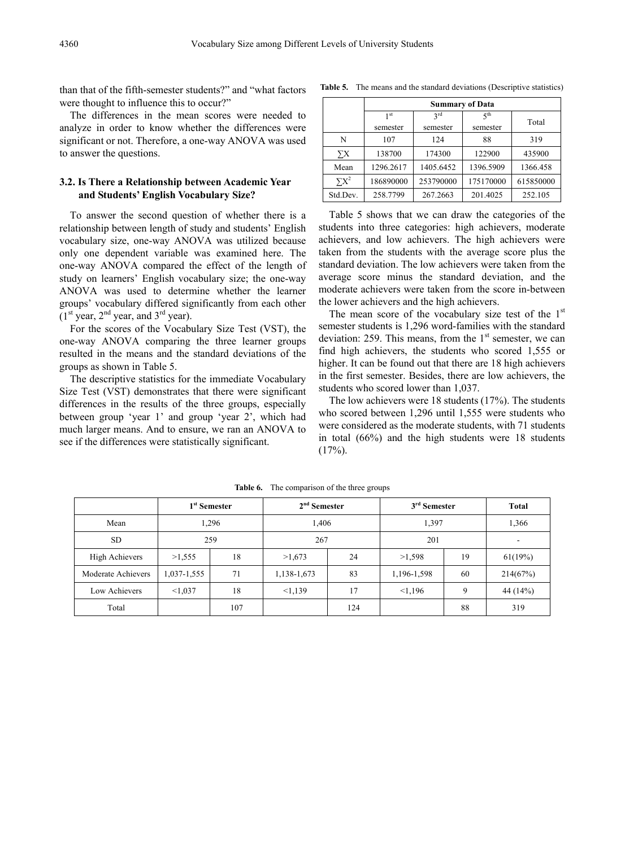than that of the fifth-semester students?" and "what factors were thought to influence this to occur?"

The differences in the mean scores were needed to analyze in order to know whether the differences were significant or not. Therefore, a one-way ANOVA was used to answer the questions.

## **3.2. Is There a Relationship between Academic Year and Students' English Vocabulary Size?**

To answer the second question of whether there is a relationship between length of study and students' English vocabulary size, one-way ANOVA was utilized because only one dependent variable was examined here. The one-way ANOVA compared the effect of the length of study on learners' English vocabulary size; the one-way ANOVA was used to determine whether the learner groups' vocabulary differed significantly from each other  $(1<sup>st</sup> year, 2<sup>nd</sup> year, and 3<sup>rd</sup> year).$ 

For the scores of the Vocabulary Size Test (VST), the one-way ANOVA comparing the three learner groups resulted in the means and the standard deviations of the groups as shown in Table 5.

The descriptive statistics for the immediate Vocabulary Size Test (VST) demonstrates that there were significant differences in the results of the three groups, especially between group 'year 1' and group 'year 2', which had much larger means. And to ensure, we ran an ANOVA to see if the differences were statistically significant.

|  |  |  |  |  | <b>Table 5.</b> The means and the standard deviations (Descriptive statistics) |  |
|--|--|--|--|--|--------------------------------------------------------------------------------|--|
|--|--|--|--|--|--------------------------------------------------------------------------------|--|

|              | <b>Summary of Data</b> |                 |                           |           |
|--------------|------------------------|-----------------|---------------------------|-----------|
|              | 1 <sup>st</sup>        | $2^{\text{rd}}$ | $\varsigma$ <sup>th</sup> | Total     |
|              | semester               | semester        | semester                  |           |
| N            | 107                    | 124             | 88                        | 319       |
| ΣХ           | 138700                 | 174300          | 122900                    | 435900    |
| Mean         | 1296.2617              | 1405.6452       | 1396.5909                 | 1366.458  |
| $\Sigma X^2$ | 186890000              | 253790000       | 175170000                 | 615850000 |
| Std.Dev.     | 258,7799               | 267.2663        | 201.4025                  | 252.105   |

Table 5 shows that we can draw the categories of the students into three categories: high achievers, moderate achievers, and low achievers. The high achievers were taken from the students with the average score plus the standard deviation. The low achievers were taken from the average score minus the standard deviation, and the moderate achievers were taken from the score in-between the lower achievers and the high achievers.

The mean score of the vocabulary size test of the  $1<sup>st</sup>$ semester students is 1,296 word-families with the standard deviation: 259. This means, from the  $1<sup>st</sup>$  semester, we can find high achievers, the students who scored 1,555 or higher. It can be found out that there are 18 high achievers in the first semester. Besides, there are low achievers, the students who scored lower than 1,037.

The low achievers were 18 students (17%). The students who scored between 1,296 until 1,555 were students who were considered as the moderate students, with 71 students in total (66%) and the high students were 18 students  $(17\%)$ .

|                       | 1 <sup>st</sup> Semester |       | $2nd$ Semester |     | $3rd$ Semester |             | <b>Total</b>             |
|-----------------------|--------------------------|-------|----------------|-----|----------------|-------------|--------------------------|
| Mean                  |                          | 1,296 | 1,406          |     | 1,397          |             | 1,366                    |
| <b>SD</b>             |                          | 259   | 267            |     | 201            |             | $\overline{\phantom{a}}$ |
| <b>High Achievers</b> | >1,555                   | 18    | >1,673         | 24  | >1,598         | 19          | 61(19%)                  |
| Moderate Achievers    | 1,037-1,555              | 71    | 1,138-1,673    | 83  | 1,196-1,598    | 60          | 214(67%)                 |
| Low Achievers         | < 1.037                  | 18    | < 1,139        | 17  | < 1,196        | $\mathbf Q$ | 44 (14%)                 |
| Total                 |                          | 107   |                | 124 |                | 88          | 319                      |

**Table 6.** The comparison of the three groups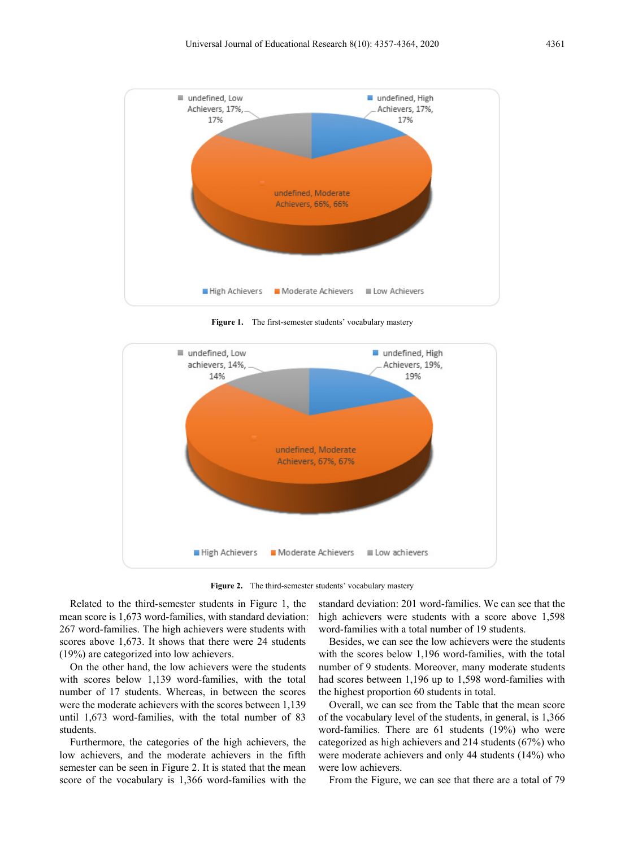

Figure 1. The first-semester students' vocabulary mastery



**Figure 2.** The third-semester students' vocabulary mastery

Related to the third-semester students in Figure 1, the mean score is 1,673 word-families, with standard deviation: 267 word-families. The high achievers were students with scores above 1,673. It shows that there were 24 students (19%) are categorized into low achievers.

On the other hand, the low achievers were the students with scores below 1,139 word-families, with the total number of 17 students. Whereas, in between the scores were the moderate achievers with the scores between 1,139 until 1,673 word-families, with the total number of 83 students.

Furthermore, the categories of the high achievers, the low achievers, and the moderate achievers in the fifth semester can be seen in Figure 2. It is stated that the mean score of the vocabulary is 1,366 word-families with the standard deviation: 201 word-families. We can see that the high achievers were students with a score above 1,598 word-families with a total number of 19 students.

Besides, we can see the low achievers were the students with the scores below 1,196 word-families, with the total number of 9 students. Moreover, many moderate students had scores between 1,196 up to 1,598 word-families with the highest proportion 60 students in total.

Overall, we can see from the Table that the mean score of the vocabulary level of the students, in general, is 1,366 word-families. There are 61 students (19%) who were categorized as high achievers and 214 students (67%) who were moderate achievers and only 44 students (14%) who were low achievers.

From the Figure, we can see that there are a total of 79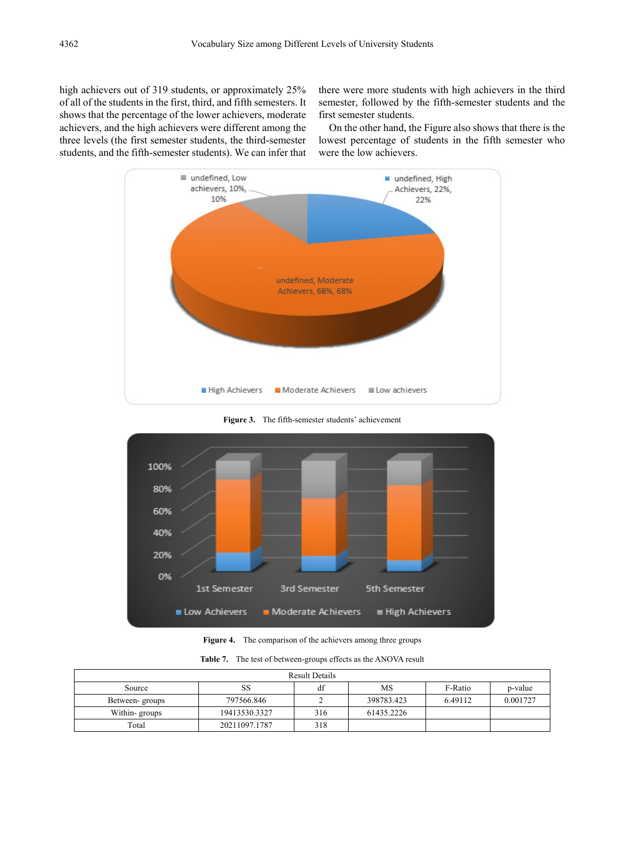high achievers out of 319 students, or approximately 25% of all of the students in the first, third, and fifth semesters. It shows that the percentage of the lower achievers, moderate achievers, and the high achievers were different among the three levels (the first semester students, the third-semester students, and the fifth-semester students). We can infer that there were more students with high achievers in the third semester, followed by the fifth-semester students and the first semester students.

On the other hand, the Figure also shows that there is the lowest percentage of students in the fifth semester who were the low achievers.



**Figure 3.** The fifth-semester students' achievement



**Figure 4.** The comparison of the achievers among three groups

|  | <b>Table 7.</b> The test of between-groups effects as the ANOVA result |  |  |
|--|------------------------------------------------------------------------|--|--|
|--|------------------------------------------------------------------------|--|--|

| <b>Result Details</b> |               |     |            |         |          |
|-----------------------|---------------|-----|------------|---------|----------|
| Source                | SS            | -di | MS         | F-Ratio | p-value  |
| Between-groups        | 797566.846    |     | 398783.423 | 6.49112 | 0.001727 |
| Within-groups         | 19413530.3327 | 316 | 61435.2226 |         |          |
| Total                 | 20211097.1787 | 318 |            |         |          |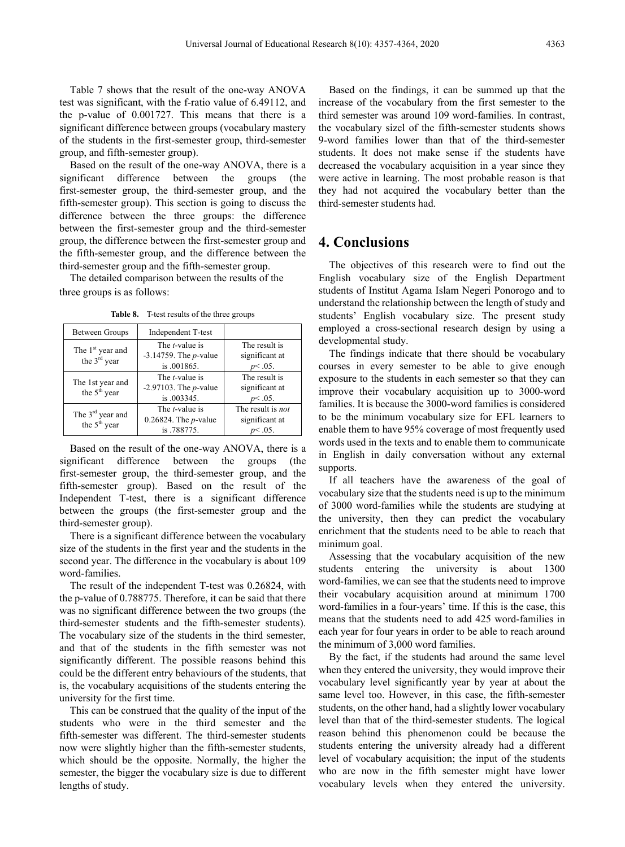Table 7 shows that the result of the one-way ANOVA test was significant, with the f-ratio value of 6.49112, and the p-value of 0.001727. This means that there is a significant difference between groups (vocabulary mastery of the students in the first-semester group, third-semester group, and fifth-semester group).

Based on the result of the one-way ANOVA, there is a significant difference between the groups (the first-semester group, the third-semester group, and the fifth-semester group). This section is going to discuss the difference between the three groups: the difference between the first-semester group and the third-semester group, the difference between the first-semester group and the fifth-semester group, and the difference between the third-semester group and the fifth-semester group.

The detailed comparison between the results of the three groups is as follows:

**Table 8.** T-test results of the three groups

| <b>Between Groups</b>                                    | Independent T-test                                                        |                                                         |
|----------------------------------------------------------|---------------------------------------------------------------------------|---------------------------------------------------------|
| The 1 <sup>st</sup> year and<br>the 3 <sup>rd</sup> year | The <i>t</i> -value is<br>$-3.14759$ . The <i>p</i> -value<br>is .001865. | The result is<br>significant at<br>$p<.05$ .            |
| The 1st year and<br>the 5 <sup>th</sup> year             | The <i>t</i> -value is<br>-2.97103. The $p$ -value<br>is .003345.         | The result is<br>significant at<br>$p<.05$ .            |
| The 3 <sup>rd</sup> year and<br>the 5 <sup>th</sup> year | The <i>t</i> -value is<br>0.26824. The $p$ -value<br>is .788775.          | The result is <i>not</i><br>significant at<br>$p<.05$ . |

Based on the result of the one-way ANOVA, there is a significant difference between the groups (the first-semester group, the third-semester group, and the fifth-semester group). Based on the result of the Independent T-test, there is a significant difference between the groups (the first-semester group and the third-semester group).

There is a significant difference between the vocabulary size of the students in the first year and the students in the second year. The difference in the vocabulary is about 109 word-families.

The result of the independent T-test was 0.26824, with the p-value of 0.788775. Therefore, it can be said that there was no significant difference between the two groups (the third-semester students and the fifth-semester students). The vocabulary size of the students in the third semester, and that of the students in the fifth semester was not significantly different. The possible reasons behind this could be the different entry behaviours of the students, that is, the vocabulary acquisitions of the students entering the university for the first time.

This can be construed that the quality of the input of the students who were in the third semester and the fifth-semester was different. The third-semester students now were slightly higher than the fifth-semester students, which should be the opposite. Normally, the higher the semester, the bigger the vocabulary size is due to different lengths of study.

Based on the findings, it can be summed up that the increase of the vocabulary from the first semester to the third semester was around 109 word-families. In contrast, the vocabulary sizel of the fifth-semester students shows 9-word families lower than that of the third-semester students. It does not make sense if the students have decreased the vocabulary acquisition in a year since they were active in learning. The most probable reason is that they had not acquired the vocabulary better than the third-semester students had.

## **4. Conclusions**

The objectives of this research were to find out the English vocabulary size of the English Department students of Institut Agama Islam Negeri Ponorogo and to understand the relationship between the length of study and students' English vocabulary size. The present study employed a cross-sectional research design by using a developmental study.

The findings indicate that there should be vocabulary courses in every semester to be able to give enough exposure to the students in each semester so that they can improve their vocabulary acquisition up to 3000-word families. It is because the 3000-word families is considered to be the minimum vocabulary size for EFL learners to enable them to have 95% coverage of most frequently used words used in the texts and to enable them to communicate in English in daily conversation without any external supports.

If all teachers have the awareness of the goal of vocabulary size that the students need is up to the minimum of 3000 word-families while the students are studying at the university, then they can predict the vocabulary enrichment that the students need to be able to reach that minimum goal.

Assessing that the vocabulary acquisition of the new students entering the university is about 1300 word-families, we can see that the students need to improve their vocabulary acquisition around at minimum 1700 word-families in a four-years' time. If this is the case, this means that the students need to add 425 word-families in each year for four years in order to be able to reach around the minimum of 3,000 word families.

By the fact, if the students had around the same level when they entered the university, they would improve their vocabulary level significantly year by year at about the same level too. However, in this case, the fifth-semester students, on the other hand, had a slightly lower vocabulary level than that of the third-semester students. The logical reason behind this phenomenon could be because the students entering the university already had a different level of vocabulary acquisition; the input of the students who are now in the fifth semester might have lower vocabulary levels when they entered the university.